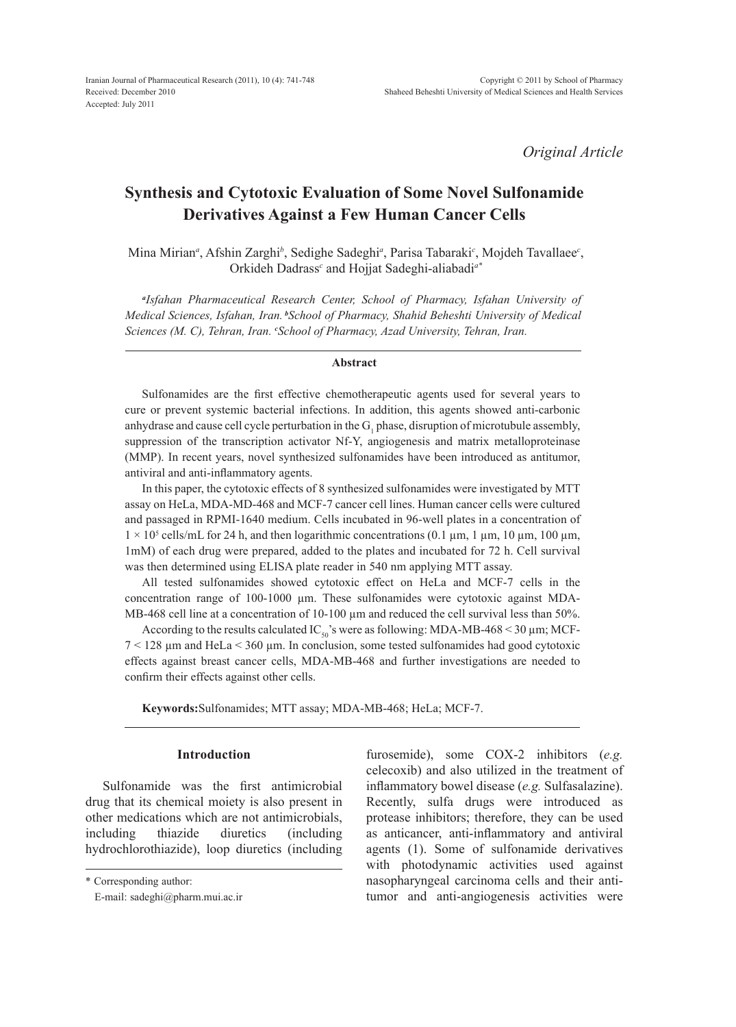*Original Article*

# **Synthesis and Cytotoxic Evaluation of Some Novel Sulfonamide Derivatives Against a Few Human Cancer Cells**

Mina Mirian<sup>a</sup>, Afshin Zarghi<sup>b</sup>, Sedighe Sadeghi<sup>a</sup>, Parisa Tabaraki<sup>c</sup>, Mojdeh Tavallaee<sup>c</sup>, Orkideh Dadrass*<sup>c</sup>* and Hojjat Sadeghi-aliabadi*a\**

*a Isfahan Pharmaceutical Research Center, School of Pharmacy, Isfahan University of Medical Sciences, Isfahan, Iran.<sup>b</sup>School of Pharmacy, Shahid Beheshti University of Medical Sciences (M. C), Tehran, Iran. <sup>c</sup> School of Pharmacy, Azad University, Tehran, Iran.*

#### **Abstract**

Sulfonamides are the first effective chemotherapeutic agents used for several years to cure or prevent systemic bacterial infections. In addition, this agents showed anti-carbonic anhydrase and cause cell cycle perturbation in the  $G_1$  phase, disruption of microtubule assembly, suppression of the transcription activator Nf-Y, angiogenesis and matrix metalloproteinase (MMP). In recent years, novel synthesized sulfonamides have been introduced as antitumor, antiviral and anti-inflammatory agents.

In this paper, the cytotoxic effects of 8 synthesized sulfonamides were investigated by MTT assay on HeLa, MDA-MD-468 and MCF-7 cancer cell lines. Human cancer cells were cultured and passaged in RPMI-1640 medium. Cells incubated in 96-well plates in a concentration of  $1 \times 10^5$  cells/mL for 24 h, and then logarithmic concentrations (0.1 µm, 1 µm, 10 µm, 100 µm, 1mM) of each drug were prepared, added to the plates and incubated for 72 h. Cell survival was then determined using ELISA plate reader in 540 nm applying MTT assay.

All tested sulfonamides showed cytotoxic effect on HeLa and MCF-7 cells in the concentration range of 100-1000 µm. These sulfonamides were cytotoxic against MDA-MB-468 cell line at a concentration of 10-100  $\mu$ m and reduced the cell survival less than 50%.

According to the results calculated IC<sub>50</sub>'s were as following: MDA-MB-468 < 30  $\mu$ m; MCF- $7 < 128$  µm and HeLa  $< 360$  µm. In conclusion, some tested sulfonamides had good cytotoxic effects against breast cancer cells, MDA-MB-468 and further investigations are needed to confirm their effects against other cells.

**Keywords:**Sulfonamides; MTT assay; MDA-MB-468; HeLa; MCF-7.

### **Introduction**

Sulfonamide was the first antimicrobial drug that its chemical moiety is also present in other medications which are not antimicrobials, including thiazide diuretics (including hydrochlorothiazide), loop diuretics (including furosemide), some COX-2 inhibitors (*e.g.* celecoxib) and also utilized in the treatment of inflammatory bowel disease (*e.g.* Sulfasalazine). Recently, sulfa drugs were introduced as protease inhibitors; therefore, they can be used as anticancer, anti-inflammatory and antiviral agents (1). Some of sulfonamide derivatives with photodynamic activities used against nasopharyngeal carcinoma cells and their antitumor and anti-angiogenesis activities were

<sup>\*</sup> Corresponding author:

E-mail: sadeghi@pharm.mui.ac.ir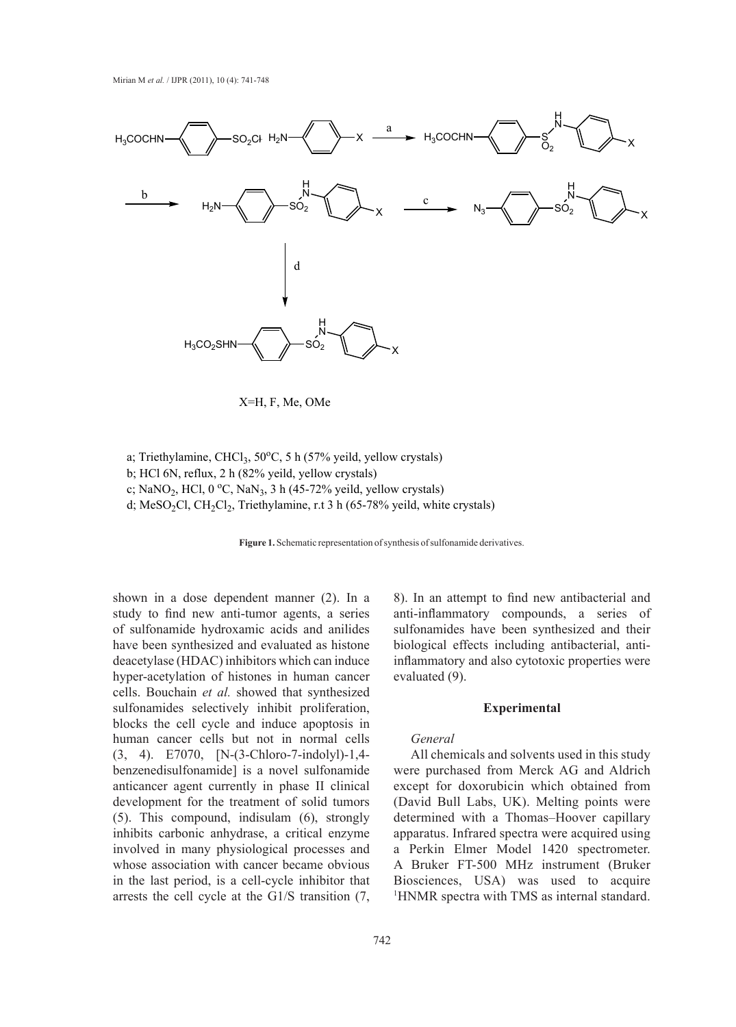

X=H, F, Me, OMe

a; Triethylamine, CHCl<sub>3</sub>, 50°C, 5 h (57% yeild, yellow crystals) b; HCl 6N, reflux, 2 h (82% yeild, yellow crystals) c; NaNO<sub>2</sub>, HCl, 0 °C, NaN<sub>3</sub>, 3 h (45-72% yeild, yellow crystals) d; MeSO<sub>2</sub>Cl, CH<sub>2</sub>Cl<sub>2</sub>, Triethylamine, r.t 3 h (65-78% yeild, white crystals)



shown in a dose dependent manner (2). In a study to find new anti-tumor agents, a series of sulfonamide hydroxamic acids and anilides have been synthesized and evaluated as histone deacetylase (HDAC) inhibitors which can induce hyper-acetylation of histones in human cancer cells. Bouchain *et al.* showed that synthesized sulfonamides selectively inhibit proliferation, blocks the cell cycle and induce apoptosis in human cancer cells but not in normal cells (3, 4). E7070, [N-(3-Chloro-7-indolyl)-1,4 benzenedisulfonamide] is a novel sulfonamide anticancer agent currently in phase II clinical development for the treatment of solid tumors (5). This compound, indisulam (6), strongly inhibits carbonic anhydrase, a critical enzyme involved in many physiological processes and whose association with cancer became obvious in the last period, is a cell-cycle inhibitor that arrests the cell cycle at the G1/S transition (7, 8). In an attempt to find new antibacterial and anti-inflammatory compounds, a series of sulfonamides have been synthesized and their biological effects including antibacterial, antiinflammatory and also cytotoxic properties were evaluated (9).

#### **Experimental**

#### *General*

All chemicals and solvents used in this study were purchased from Merck AG and Aldrich except for doxorubicin which obtained from (David Bull Labs, UK). Melting points were determined with a Thomas–Hoover capillary apparatus. Infrared spectra were acquired using a Perkin Elmer Model 1420 spectrometer. A Bruker FT-500 MHz instrument (Bruker Biosciences, USA) was used to acquire 1 HNMR spectra with TMS as internal standard.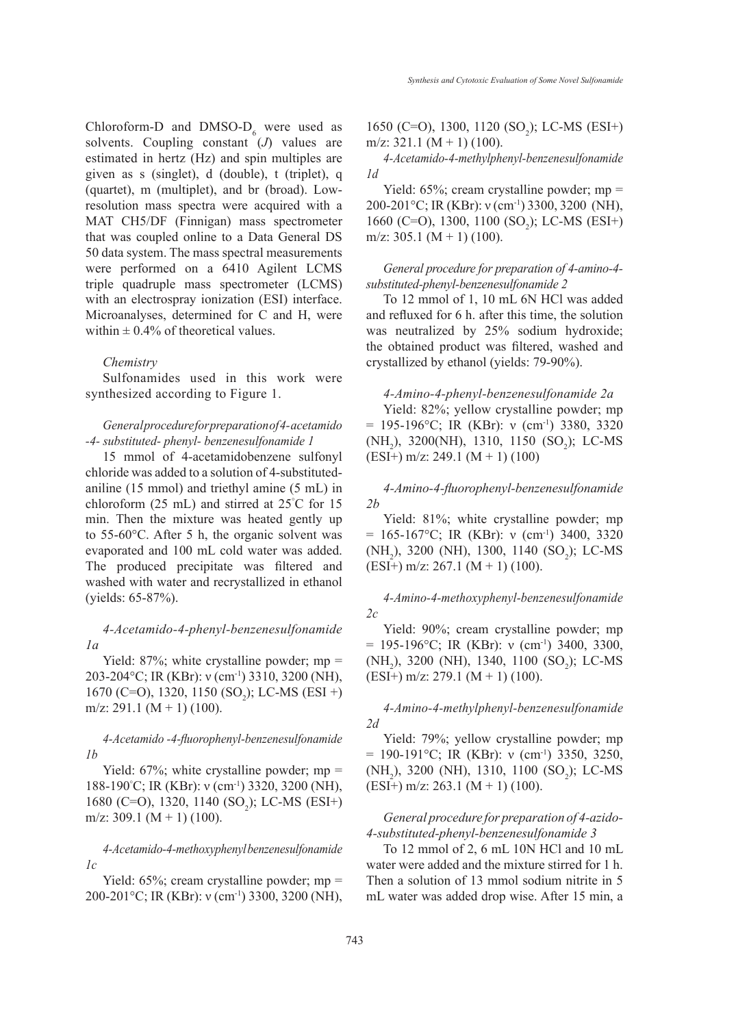Chloroform-D and DMSO- $D_6$  were used as solvents. Coupling constant (*J*) values are estimated in hertz (Hz) and spin multiples are given as s (singlet), d (double), t (triplet), q (quartet), m (multiplet), and br (broad). Lowresolution mass spectra were acquired with a MAT CH5/DF (Finnigan) mass spectrometer that was coupled online to a Data General DS 50 data system. The mass spectral measurements were performed on a 6410 Agilent LCMS triple quadruple mass spectrometer (LCMS) with an electrospray ionization (ESI) interface. Microanalyses, determined for C and H, were within  $\pm$  0.4% of theoretical values.

#### *Chemistry*

Sulfonamides used in this work were synthesized according to Figure 1.

# *General procedure for preparation of 4- acetamido -4- substituted- phenyl- benzenesulfonamide 1*

15 mmol of 4-acetamidobenzene sulfonyl chloride was added to a solution of 4-substitutedaniline (15 mmol) and triethyl amine (5 mL) in chloroform (25 mL) and stirred at 25° C for 15 min. Then the mixture was heated gently up to 55-60°C. After 5 h, the organic solvent was evaporated and 100 mL cold water was added. The produced precipitate was filtered and washed with water and recrystallized in ethanol (yields: 65-87%).

*4-Acetamido-4-phenyl-benzenesulfonamide 1a*

Yield:  $87\%$ ; white crystalline powder; mp = 203-204°C; IR (KBr): ν (cm-1) 3310, 3200 (NH),  $1670$  (C=O), 1320, 1150 (SO<sub>2</sub>); LC-MS (ESI +)  $m/z$ : 291.1  $(M + 1)$  (100).

# *4-Acetamido -4-fluorophenyl-benzenesulfonamide 1b*

Yield:  $67\%$ ; white crystalline powder; mp = 188-190<sup>°</sup>C; IR (KBr): ν (cm<sup>-1</sup>) 3320, 3200 (NH), 1680 (C=O), 1320, 1140 (SO<sub>2</sub>); LC-MS (ESI+)  $m/z$ : 309.1  $(M + 1)$  (100).

### *4-Acetamido-4-methoxyphenyl benzenesulfonamide 1c*

Yield:  $65\%$ ; cream crystalline powder; mp = 200-201°C; IR (KBr): ν (cm-1) 3300, 3200 (NH),

1650 (C=O), 1300, 1120 (SO<sub>2</sub>); LC-MS (ESI+) m/z:  $321.1$  (M + 1) (100).

*4-Acetamido-4-methylphenyl-benzenesulfonamide 1d*

Yield: 65%; cream crystalline powder; mp = 200-201°C; IR (KBr): ν (cm-1) 3300, 3200 (NH), 1660 (C=O), 1300, 1100 (SO<sub>2</sub>); LC-MS (ESI+) m/z: 305.1  $(M + 1)$  (100).

## *General procedure for preparation of 4-amino-4 substituted-phenyl-benzenesulfonamide 2*

To 12 mmol of 1, 10 mL 6N HCl was added and refluxed for 6 h. after this time, the solution was neutralized by 25% sodium hydroxide; the obtained product was filtered, washed and crystallized by ethanol (yields: 79-90%).

### *4-Amino-4-phenyl-benzenesulfonamide 2a*

Yield: 82%; yellow crystalline powder; mp  $= 195-196$ °C; IR (KBr): ν (cm<sup>-1</sup>) 3380, 3320 (NH<sub>2</sub>), 3200(NH), 1310, 1150 (SO<sub>2</sub>); LC-MS (ESI+) m/z: 249.1 (M + 1) (100)

# *4-Amino-4-fluorophenyl-benzenesulfonamide 2b*

Yield: 81%; white crystalline powder; mp  $= 165-167$ °C; IR (KBr): v (cm<sup>-1</sup>) 3400, 3320 (NH<sub>2</sub>), 3200 (NH), 1300, 1140 (SO<sub>2</sub>); LC-MS (ESI+) m/z: 267.1 (M + 1) (100).

# *4-Amino-4-methoxyphenyl-benzenesulfonamide 2c*

Yield: 90%; cream crystalline powder; mp  $= 195-196$ °C; IR (KBr): ν (cm<sup>-1</sup>) 3400, 3300,  $(NH<sub>2</sub>)$ , 3200 (NH), 1340, 1100 (SO<sub>2</sub>); LC-MS  $(ESI+)$  m/z: 279.1  $(M + 1)$  (100).

# *4-Amino-4-methylphenyl-benzenesulfonamide 2d*

Yield: 79%; yellow crystalline powder; mp  $= 190-191$ °C; IR (KBr): ν (cm<sup>-1</sup>) 3350, 3250, (NH<sub>2</sub>), 3200 (NH), 1310, 1100 (SO<sub>2</sub>); LC-MS  $(ESI+)$  m/z: 263.1  $(M + 1)$  (100).

### *General procedure for preparation of 4-azido-4-substituted-phenyl-benzenesulfonamide 3*

To 12 mmol of 2, 6 mL 10N HCl and 10 mL water were added and the mixture stirred for 1 h. Then a solution of 13 mmol sodium nitrite in 5 mL water was added drop wise. After 15 min, a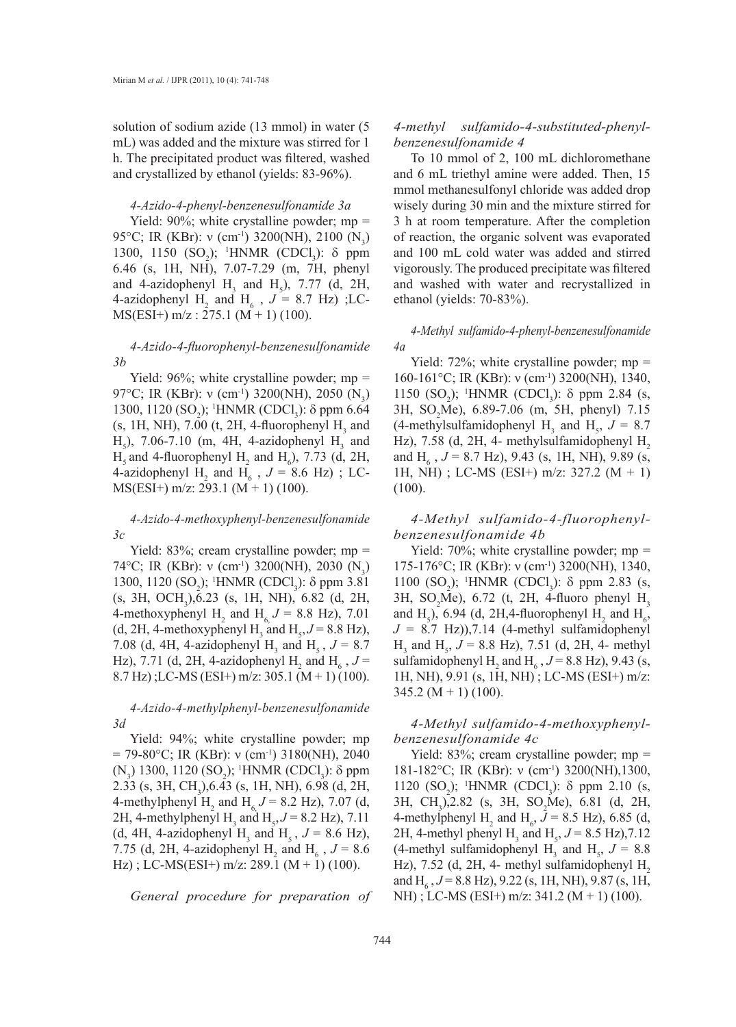solution of sodium azide (13 mmol) in water (5 mL) was added and the mixture was stirred for 1 h. The precipitated product was filtered, washed and crystallized by ethanol (yields: 83-96%).

#### *4-Azido-4-phenyl-benzenesulfonamide 3a*

Yield: 90%; white crystalline powder; mp = 95°C; IR (KBr): v (cm<sup>-1</sup>) 3200(NH), 2100 (N<sub>3</sub>) 1300, 1150 (SO<sub>2</sub>); <sup>1</sup>HNMR (CDCl<sub>3</sub>): δ ppm 6.46 (s, 1H, NH), 7.07-7.29 (m, 7H, phenyl and 4-azidophenyl  $H_3$  and  $H_5$ ), 7.77 (d, 2H, 4-azidophenyl  $H_2$  and  $H_6$ ,  $J = 8.7$  Hz); LC- $MS(ESI+)$  m/z : 275.1 (M + 1) (100).

### *4-Azido-4-fluorophenyl-benzenesulfonamide 3b*

Yield:  $96\%$ ; white crystalline powder; mp = 97°C; IR (KBr): v (cm<sup>-1</sup>) 3200(NH), 2050 (N<sub>3</sub>) 1300, 1120 (SO<sub>2</sub>); <sup>1</sup>HNMR (CDCl<sub>3</sub>): δ ppm 6.64  $(s, 1H, NH)$ , 7.00 (t, 2H, 4-fluorophenyl  $H<sub>3</sub>$  and  $H_5$ ), 7.06-7.10 (m, 4H, 4-azidophenyl  $H_3$  and  $H<sub>s</sub>$  and 4-fluorophenyl  $H<sub>2</sub>$  and  $H<sub>6</sub>$ ), 7.73 (d, 2H, 4-azidophenyl  $H_2$  and  $H_6$ ,  $J = 8.6$  Hz); LC-MS(ESI+) m/z: 293.1 (M + 1) (100).

*4-Azido-4-methoxyphenyl-benzenesulfonamide 3c*

Yield: 83%; cream crystalline powder; mp = 74°C; IR (KBr): v (cm<sup>-1</sup>) 3200(NH), 2030 (N<sub>3</sub>) 1300, 1120 (SO<sub>2</sub>); <sup>1</sup>HNMR (CDCl<sub>3</sub>): δ ppm 3.81  $(s, 3H, OCH<sub>3</sub>), 6.23$   $(s, 1H, NH), 6.82$   $(d, 2H,$ 4-methoxyphenyl H<sub>2</sub> and H<sub>6</sub>  $J = 8.8$  Hz), 7.01 (d, 2H, 4-methoxyphenyl H<sub>3</sub> and H<sub>5</sub>,  $J = 8.8$  Hz), 7.08 (d, 4H, 4-azidophenyl H<sub>3</sub> and H<sub>5</sub>,  $J = 8.7$ Hz), 7.71 (d, 2H, 4-azidophenyl H<sub>2</sub> and H<sub>6</sub>,  $J =$ 8.7 Hz) ;LC-MS (ESI+) m/z: 305.1 (M + 1) (100).

# *4-Azido-4-methylphenyl-benzenesulfonamide 3d*

Yield: 94%; white crystalline powder; mp  $= 79-80$ °C; IR (KBr): ν (cm<sup>-1</sup>) 3180(NH), 2040 (N<sub>3</sub>) 1300, 1120 (SO<sub>2</sub>); <sup>1</sup>HNMR (CDCl<sub>3</sub>): δ ppm 2.33 (s, 3H, CH<sub>3</sub>), 6.43 (s, 1H, NH), 6.98 (d, 2H, 4-methylphenyl H<sub>2</sub> and H<sub>6</sub>,  $J = 8.2$  Hz), 7.07 (d, 2H, 4-methylphenyl H<sub>3</sub> and H<sub>5</sub>,  $J = 8.2$  Hz), 7.11 (d, 4H, 4-azidophenyl H<sub>3</sub> and H<sub>5</sub>,  $J = 8.6$  Hz), 7.75 (d, 2H, 4-azidophenyl H<sub>2</sub> and H<sub>6</sub>,  $J = 8.6$  $\text{Hz}$ ); LC-MS(ESI+) m/z: 289.1 (M + 1) (100).

*General procedure for preparation of* 

### *4-methyl sulfamido-4-substituted-phenylbenzenesulfonamide 4*

To 10 mmol of 2, 100 mL dichloromethane and 6 mL triethyl amine were added. Then, 15 mmol methanesulfonyl chloride was added drop wisely during 30 min and the mixture stirred for 3 h at room temperature. After the completion of reaction, the organic solvent was evaporated and 100 mL cold water was added and stirred vigorously. The produced precipitate was filtered and washed with water and recrystallized in ethanol (yields: 70-83%).

*4-Methyl sulfamido-4-phenyl-benzenesulfonamide 4a*

Yield:  $72\%$ ; white crystalline powder; mp = 160-161°C; IR (KBr): ν (cm-1) 3200(NH), 1340, 1150 (SO<sub>2</sub>); <sup>1</sup>HNMR (CDCl<sub>3</sub>): δ ppm 2.84 (s, 3H, SO<sub>2</sub>Me), 6.89-7.06 (m, 5H, phenyl) 7.15 (4-methylsulfamidophenyl H<sub>3</sub> and H<sub>5</sub>,  $J = 8.7$ Hz),  $7.58$  (d,  $2H$ , 4- methylsulfamidophenyl  $H<sub>2</sub>$ and H<sub>6</sub>,  $J = 8.7$  Hz), 9.43 (s, 1H, NH), 9.89 (s, 1H, NH) ; LC-MS (ESI+) m/z: 327.2 (M + 1)  $(100).$ 

*4-Methyl sulfamido-4-fluorophenylbenzenesulfonamide 4b*

Yield:  $70\%$ ; white crystalline powder; mp = 175-176°C; IR (KBr): ν (cm<sup>-1</sup>) 3200(NH), 1340, 1100 (SO<sub>2</sub>); <sup>1</sup>HNMR (CDCl<sub>3</sub>): δ ppm 2.83 (s, 3H, SO<sub>2</sub>Me), 6.72 (t, 2H, 4-fluoro phenyl  $H_3$ and H<sub>5</sub>), 6.94 (d, 2H,4-fluorophenyl H<sub>2</sub> and H<sub>6</sub>,  $J = 8.7$  Hz)),7.14 (4-methyl sulfamidophenyl  $H_3$  and  $H_5$ ,  $J = 8.8$  Hz), 7.51 (d, 2H, 4- methyl sulfamidophenyl H<sub>2</sub> and H<sub>6</sub>,  $J = 8.8$  Hz), 9.43 (s, 1H, NH), 9.91 (s, 1H, NH) ; LC-MS (ESI+) m/z:  $345.2 (M + 1) (100)$ .

### *4-Methyl sulfamido-4-methoxyphenylbenzenesulfonamide 4c*

Yield: 83%; cream crystalline powder; mp = 181-182°C; IR (KBr): ν (cm<sup>-1</sup>) 3200(NH),1300, 1120 (SO<sub>2</sub>); <sup>1</sup>HNMR (CDCl<sub>3</sub>): δ ppm 2.10 (s, 3H, CH<sub>3</sub>),2.82 (s, 3H, SO<sub>2</sub>Me), 6.81 (d, 2H, 4-methylphenyl H<sub>2</sub> and H<sub>6</sub>,  $J = 8.5$  Hz), 6.85 (d, 2H, 4-methyl phenyl H<sub>3</sub> and H<sub>5</sub>,  $J = 8.5$  Hz), 7.12 (4-methyl sulfamidophenyl H<sub>3</sub> and H<sub>5</sub>,  $J = 8.8$ Hz),  $7.52$  (d,  $2H$ , 4- methyl sulfamidophenyl H<sub>2</sub> and H<sub>6</sub>, *J* = 8.8 Hz), 9.22 (s, 1H, NH), 9.87 (s, 1H, NH); LC-MS (ESI+) m/z: 341.2 (M + 1) (100).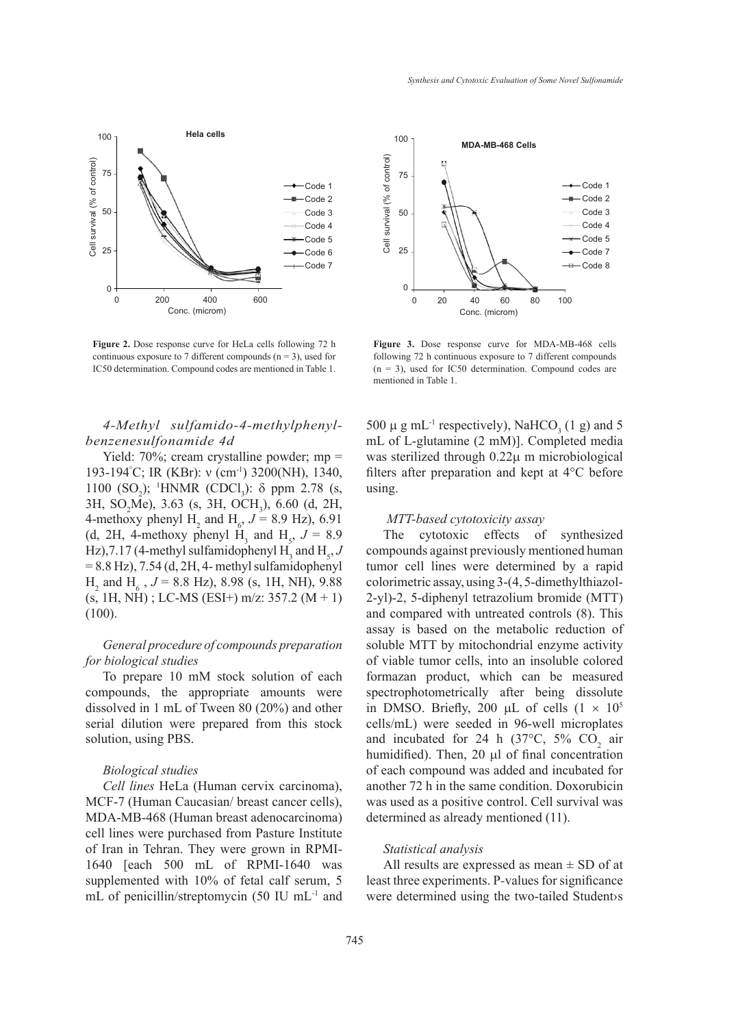

**Figure 2.** Dose response curve for HeLa cells following 72 h continuous exposure to 7 different compounds  $(n = 3)$ , used for IC50 determination. Compound codes are mentioned in Table 1.

# *4-Methyl sulfamido-4-methylphenylbenzenesulfonamide 4d*

Yield: 70%; cream crystalline powder; mp = 193-194<sup>°</sup>C; IR (KBr): ν (cm<sup>-1</sup>) 3200(NH), 1340, 1100 (SO<sub>2</sub>); <sup>1</sup>HNMR (CDCl<sub>3</sub>): δ ppm 2.78 (s, 3H, SO<sub>2</sub>Me), 3.63 (s, 3H, OCH<sub>3</sub>), 6.60 (d, 2H, 4-methoxy phenyl  $H_2$  and  $H_6$ ,  $J = 8.9$  Hz), 6.91 (d, 2H, 4-methoxy phenyl H<sub>3</sub> and H<sub>5</sub>,  $J = 8.9$ Hz),7.17 (4-methyl sulfamidophenyl  $H_3$  and  $H_5$ , J  $= 8.8$  Hz),  $7.54$  (d,  $2H$ , 4- methyl sulfamidophenyl  $H_2$  and  $H_6$ ,  $J = 8.8$  Hz), 8.98 (s, 1H, NH), 9.88  $(s, 1H, NH)$ ; LC-MS (ESI+) m/z: 357.2 (M + 1) (100).

# *General procedure of compounds preparation for biological studies*

To prepare 10 mM stock solution of each compounds, the appropriate amounts were dissolved in 1 mL of Tween 80 (20%) and other serial dilution were prepared from this stock solution, using PBS.

### *Biological studies*

*Cell lines* HeLa (Human cervix carcinoma), MCF-7 (Human Caucasian/ breast cancer cells), MDA-MB-468 (Human breast adenocarcinoma) cell lines were purchased from Pasture Institute of Iran in Tehran. They were grown in RPMI-1640 [each 500 mL of RPMI-1640 was supplemented with 10% of fetal calf serum, 5 mL of penicillin/streptomycin (50 IU mL-1 and



**Figure 3.** Dose response curve for MDA-MB-468 cells following 72 h continuous exposure to 7 different compounds  $(n = 3)$ , used for IC50 determination. Compound codes are mentioned in Table 1.

500  $\mu$  g mL<sup>-1</sup> respectively), NaHCO<sub>3</sub> (1 g) and 5 mL of L-glutamine (2 mM)]. Completed media was sterilized through  $0.22\mu$  m microbiological filters after preparation and kept at 4°C before using.

#### *MTT-based cytotoxicity assay*

The cytotoxic effects of synthesized compounds against previously mentioned human tumor cell lines were determined by a rapid colorimetric assay, using 3-(4, 5-dimethylthiazol-2-yl)-2, 5-diphenyl tetrazolium bromide (MTT) and compared with untreated controls (8). This assay is based on the metabolic reduction of soluble MTT by mitochondrial enzyme activity of viable tumor cells, into an insoluble colored formazan product, which can be measured spectrophotometrically after being dissolute in DMSO. Briefly, 200 µL of cells  $(1 \times 10^5$ cells/mL) were seeded in 96-well microplates and incubated for 24 h (37 $^{\circ}$ C, 5% CO<sub>2</sub> air humidified). Then,  $20 \mu l$  of final concentration of each compound was added and incubated for another 72 h in the same condition. Doxorubicin was used as a positive control. Cell survival was determined as already mentioned (11).

### *Statistical analysis*

All results are expressed as mean  $\pm$  SD of at least three experiments. P*-*values for significance were determined using the two-tailed Student›s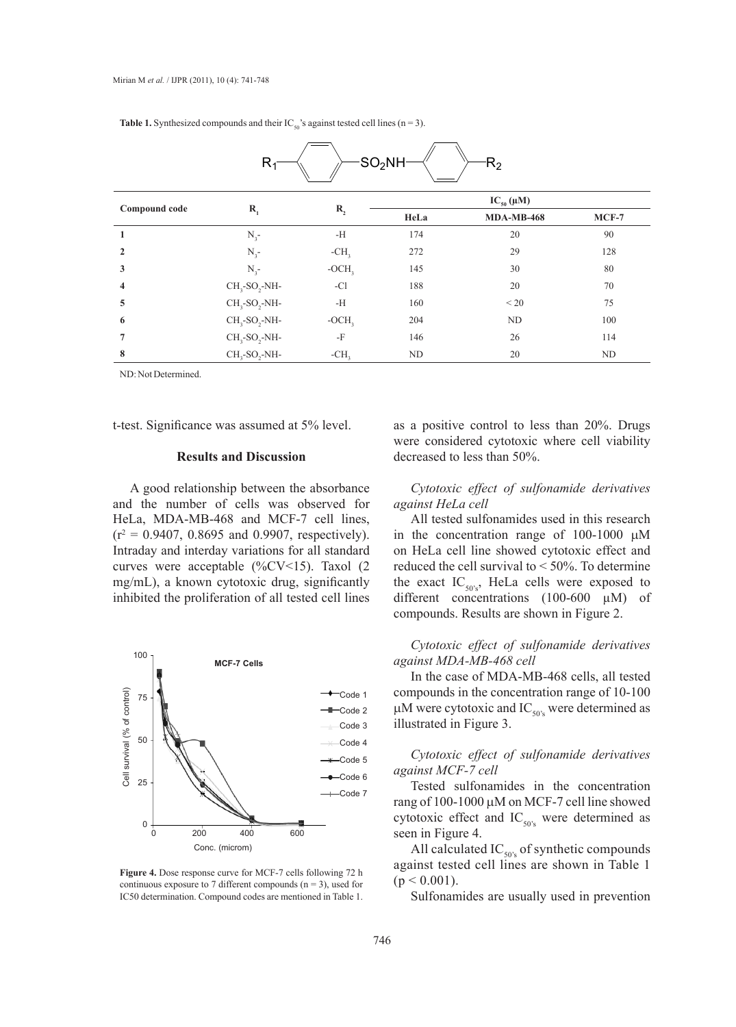| -SO <sub>2</sub> NH-<br>$R_{2}$<br>$R_1$ |                  |         |                  |                   |         |
|------------------------------------------|------------------|---------|------------------|-------------------|---------|
| Compound code                            | $\mathbf{R}_{1}$ | $R_{2}$ | $IC_{50}(\mu M)$ |                   |         |
|                                          |                  |         | HeLa             | <b>MDA-MB-468</b> | $MCF-7$ |
| $\mathbf{1}$                             | $N_{3}$ -        | $-H$    | 174              | 20                | 90      |
| $\mathbf{2}$                             | $N_{3}$ -        | $-CH3$  | 272              | 29                | 128     |
| 3                                        | $N_{3}$ -        | $-OCH3$ | 145              | 30                | 80      |
| $\overline{\mathbf{4}}$                  | $CH3-SO2-NH-$    | $-CI$   | 188              | 20                | 70      |
| 5                                        | $CH3-SO2-NH-$    | $-H$    | 160              | < 20              | 75      |
| 6                                        | $CH3-SO2-NH-$    | $-OCH3$ | 204              | ND                | 100     |
| 7                                        | $CH3-SO2-NH-$    | $-F$    | 146              | 26                | 114     |
| 8                                        | $CH3-SO2-NH-$    | $-CH3$  | ND               | 20                | ND      |

**Table 1.** Synthesized compounds and their  $IC_{50}$ 's against tested cell lines (n = 3).

ND: Not Determined.

t-test. Significance was assumed at 5% level.

#### **Results and Discussion**

A good relationship between the absorbance and the number of cells was observed for HeLa, MDA-MB-468 and MCF-7 cell lines,  $(r^2 = 0.9407, 0.8695, and 0.9907, respectively).$ Intraday and interday variations for all standard curves were acceptable (%CV<15). Taxol (2 mg/mL), a known cytotoxic drug, significantly inhibited the proliferation of all tested cell lines



**Figure 4.** Dose response curve for MCF-7 cells following 72 h continuous exposure to 7 different compounds ( $n = 3$ ), used for IC50 determination. Compound codes are mentioned in Table 1.

as a positive control to less than 20%. Drugs were considered cytotoxic where cell viability decreased to less than 50%.

# *Cytotoxic effect of sulfonamide derivatives against HeLa cell*

All tested sulfonamides used in this research in the concentration range of  $100-1000 \mu M$ on HeLa cell line showed cytotoxic effect and reduced the cell survival to < 50%. To determine the exact  $IC_{50's}$ , HeLa cells were exposed to different concentrations (100-600 µM) of compounds. Results are shown in Figure 2.

*Cytotoxic effect of sulfonamide derivatives against MDA-MB-468 cell*

In the case of MDA-MB-468 cells, all tested compounds in the concentration range of 10-100  $\mu$ M were cytotoxic and IC<sub>50's</sub> were determined as illustrated in Figure 3.

*Cytotoxic effect of sulfonamide derivatives against MCF-7 cell*

Tested sulfonamides in the concentration rang of 100-1000  $\mu$ M on MCF-7 cell line showed cytotoxic effect and  $IC_{50's}$  were determined as seen in Figure 4.

All calculated  $IC_{50\%}$  of synthetic compounds against tested cell lines are shown in Table 1  $(p < 0.001)$ .

Sulfonamides are usually used in prevention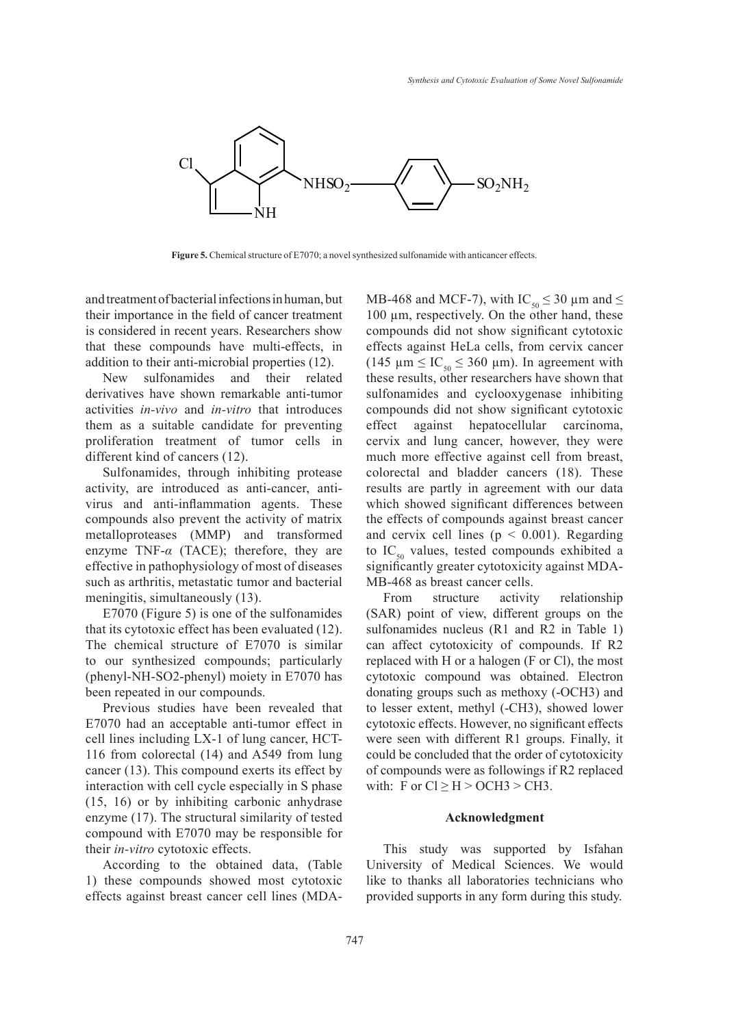

**Figure 5.** Chemical structure of E7070; a novel synthesized sulfonamide with anticancer effects.

and treatment of bacterial infections in human, but their importance in the field of cancer treatment is considered in recent years. Researchers show that these compounds have multi-effects, in addition to their anti-microbial properties (12).

New sulfonamides and their related derivatives have shown remarkable anti-tumor activities *in-vivo* and *in-vitro* that introduces them as a suitable candidate for preventing proliferation treatment of tumor cells in different kind of cancers (12).

Sulfonamides, through inhibiting protease activity, are introduced as anti-cancer, antivirus and anti-inflammation agents. These compounds also prevent the activity of matrix metalloproteases (MMP) and transformed enzyme TNF-*α* (TACE); therefore, they are effective in pathophysiology of most of diseases such as arthritis, metastatic tumor and bacterial meningitis, simultaneously (13).

E7070 (Figure 5) is one of the sulfonamides that its cytotoxic effect has been evaluated (12). The chemical structure of E7070 is similar to our synthesized compounds; particularly (phenyl-NH-SO2-phenyl) moiety in E7070 has been repeated in our compounds.

Previous studies have been revealed that E7070 had an acceptable anti-tumor effect in cell lines including LX-1 of lung cancer, HCT-116 from colorectal (14) and A549 from lung cancer (13). This compound exerts its effect by interaction with cell cycle especially in S phase (15, 16) or by inhibiting carbonic anhydrase enzyme (17). The structural similarity of tested compound with E7070 may be responsible for their *in-vitro* cytotoxic effects.

According to the obtained data, (Table 1) these compounds showed most cytotoxic effects against breast cancer cell lines (MDA-

MB-468 and MCF-7), with IC<sub>50</sub>  $\leq$  30 µm and  $\leq$ 100 µm, respectively. On the other hand, these compounds did not show significant cytotoxic effects against HeLa cells, from cervix cancer (145  $\mu$ m  $\leq$  IC<sub>50</sub>  $\leq$  360  $\mu$ m). In agreement with these results, other researchers have shown that sulfonamides and cyclooxygenase inhibiting compounds did not show significant cytotoxic effect against hepatocellular carcinoma, cervix and lung cancer, however, they were much more effective against cell from breast, colorectal and bladder cancers (18). These results are partly in agreement with our data which showed significant differences between the effects of compounds against breast cancer and cervix cell lines ( $p < 0.001$ ). Regarding to  $IC_{50}$  values, tested compounds exhibited a significantly greater cytotoxicity against MDA-MB-468 as breast cancer cells.

From structure activity relationship (SAR) point of view, different groups on the sulfonamides nucleus (R1 and R2 in Table 1) can affect cytotoxicity of compounds. If R2 replaced with H or a halogen (F or Cl), the most cytotoxic compound was obtained. Electron donating groups such as methoxy (-OCH3) and to lesser extent, methyl (-CH3), showed lower cytotoxic effects. However, no significant effects were seen with different R1 groups. Finally, it could be concluded that the order of cytotoxicity of compounds were as followings if R2 replaced with: F or  $Cl \geq H > OCH3 > CH3$ .

### **Acknowledgment**

This study was supported by Isfahan University of Medical Sciences. We would like to thanks all laboratories technicians who provided supports in any form during this study.